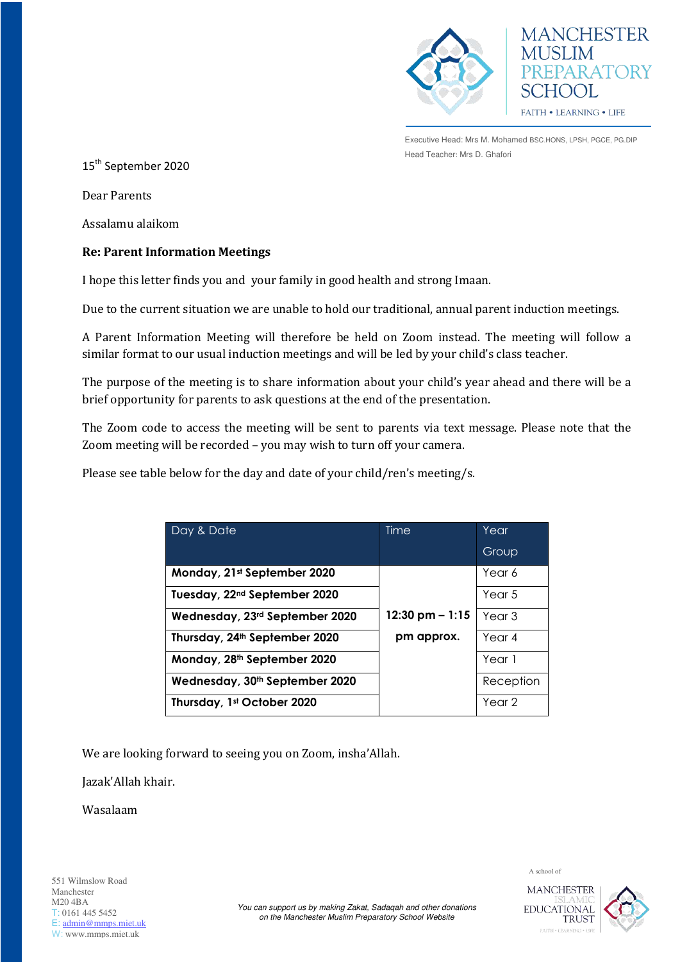



Executive Head: Mrs M. Mohamed BSC.HONS, LPSH, PGCE, PG.DIP Head Teacher: Mrs D. Ghafori

15<sup>th</sup> September 2020

Dear Parents

Assalamu alaikom

## **Re: Parent Information Meetings**

I hope this letter finds you and your family in good health and strong Imaan.

Due to the current situation we are unable to hold our traditional, annual parent induction meetings.

A Parent Information Meeting will therefore be held on Zoom instead. The meeting will follow a similar format to our usual induction meetings and will be led by your child's class teacher.

The purpose of the meeting is to share information about your child's year ahead and there will be a brief opportunity for parents to ask questions at the end of the presentation.

The Zoom code to access the meeting will be sent to parents via text message. Please note that the Zoom meeting will be recorded – you may wish to turn off your camera.

Please see table below for the day and date of your child/ren's meeting/s.

| Day & Date                                 | Time                      | Year              |
|--------------------------------------------|---------------------------|-------------------|
|                                            |                           | Group             |
| Monday, 21st September 2020                |                           | Year 6            |
| Tuesday, 22 <sup>nd</sup> September 2020   |                           | Year 5            |
| Wednesday, 23rd September 2020             | $12:30 \text{ pm} - 1:15$ | Year 3            |
| Thursday, 24th September 2020              | pm approx.                | Year 4            |
| Monday, 28th September 2020                |                           | Year 1            |
| Wednesday, 30 <sup>th</sup> September 2020 |                           | Reception         |
| Thursday, 1st October 2020                 |                           | Year <sub>2</sub> |

We are looking forward to seeing you on Zoom, insha'Allah.

Jazak'Allah khair.

Wasalaam



A school of